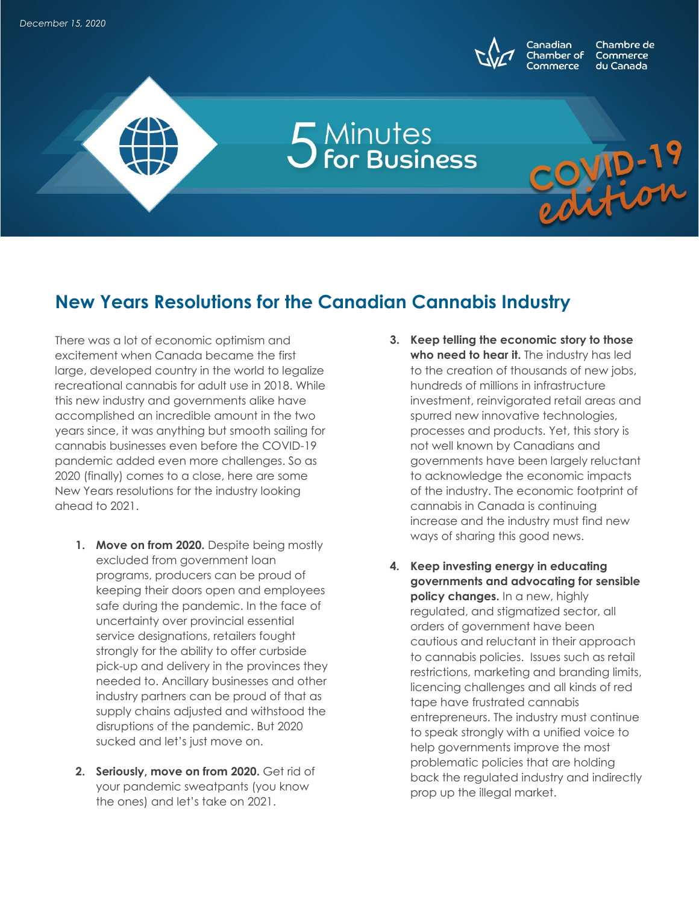

Chambre de Commerce du Canada

WID-19

## **New Years Resolutions for the Canadian Cannabis Industry**

5 Minutes<br>5 for Business

There was a lot of economic optimism and excitement when Canada became the first large, developed country in the world to legalize recreational cannabis for adult use in 2018. While this new industry and governments alike have accomplished an incredible amount in the two years since, it was anything but smooth sailing for cannabis businesses even before the COVID-19 pandemic added even more challenges. So as 2020 (finally) comes to a close, here are some New Years resolutions for the industry looking ahead to 2021.

- **1. Move on from 2020.** Despite being mostly excluded from government loan programs, producers can be proud of keeping their doors open and employees safe during the pandemic. In the face of uncertainty over provincial essential service designations, retailers fought strongly for the ability to offer curbside pick-up and delivery in the provinces they needed to. Ancillary businesses and other industry partners can be proud of that as supply chains adjusted and withstood the disruptions of the pandemic. But 2020 sucked and let's just move on.
- **2. Seriously, move on from 2020.** Get rid of your pandemic sweatpants (you know the ones) and let's take on 2021.
- **3. Keep telling the economic story to those who need to hear it.** The industry has led to the creation of thousands of new jobs, hundreds of millions in infrastructure investment, reinvigorated retail areas and spurred new innovative technologies, processes and products. Yet, this story is not well known by Canadians and governments have been largely reluctant to acknowledge the economic impacts of the industry. The economic footprint of cannabis in Canada is continuing increase and the industry must find new ways of sharing this good news.
- **4. Keep investing energy in educating governments and advocating for sensible policy changes.** In a new, highly regulated, and stigmatized sector, all orders of government have been cautious and reluctant in their approach to cannabis policies. Issues such as retail restrictions, marketing and branding limits, licencing challenges and all kinds of red tape have frustrated cannabis entrepreneurs. The industry must continue to speak strongly with a unified voice to help governments improve the most problematic policies that are holding back the regulated industry and indirectly prop up the illegal market.